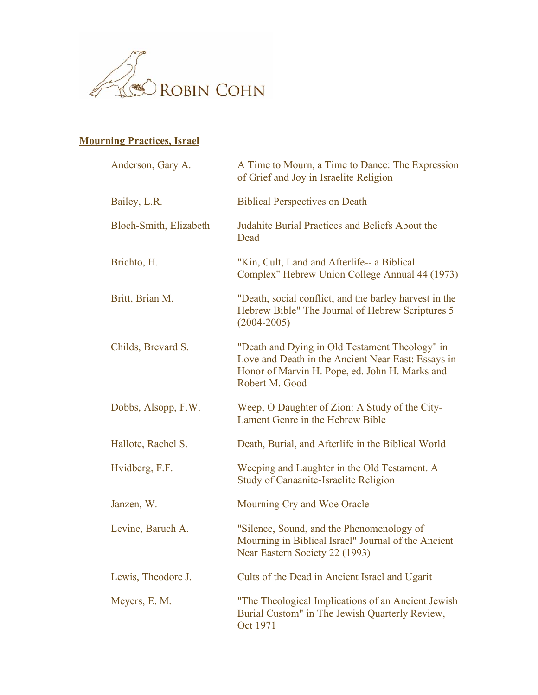

## **Mourning Practices, Israel**

| Anderson, Gary A.      | A Time to Mourn, a Time to Dance: The Expression<br>of Grief and Joy in Israelite Religion                                                                               |
|------------------------|--------------------------------------------------------------------------------------------------------------------------------------------------------------------------|
| Bailey, L.R.           | <b>Biblical Perspectives on Death</b>                                                                                                                                    |
| Bloch-Smith, Elizabeth | Judahite Burial Practices and Beliefs About the<br>Dead                                                                                                                  |
| Brichto, H.            | "Kin, Cult, Land and Afterlife-- a Biblical<br>Complex" Hebrew Union College Annual 44 (1973)                                                                            |
| Britt, Brian M.        | "Death, social conflict, and the barley harvest in the<br>Hebrew Bible" The Journal of Hebrew Scriptures 5<br>$(2004 - 2005)$                                            |
| Childs, Brevard S.     | "Death and Dying in Old Testament Theology" in<br>Love and Death in the Ancient Near East: Essays in<br>Honor of Marvin H. Pope, ed. John H. Marks and<br>Robert M. Good |
| Dobbs, Alsopp, F.W.    | Weep, O Daughter of Zion: A Study of the City-<br>Lament Genre in the Hebrew Bible                                                                                       |
| Hallote, Rachel S.     | Death, Burial, and Afterlife in the Biblical World                                                                                                                       |
| Hvidberg, F.F.         | Weeping and Laughter in the Old Testament. A<br><b>Study of Canaanite-Israelite Religion</b>                                                                             |
| Janzen, W.             | Mourning Cry and Woe Oracle                                                                                                                                              |
| Levine, Baruch A.      | "Silence, Sound, and the Phenomenology of<br>Mourning in Biblical Israel" Journal of the Ancient<br>Near Eastern Society 22 (1993)                                       |
| Lewis, Theodore J.     | Cults of the Dead in Ancient Israel and Ugarit                                                                                                                           |
| Meyers, E. M.          | "The Theological Implications of an Ancient Jewish<br>Burial Custom" in The Jewish Quarterly Review,<br>Oct 1971                                                         |